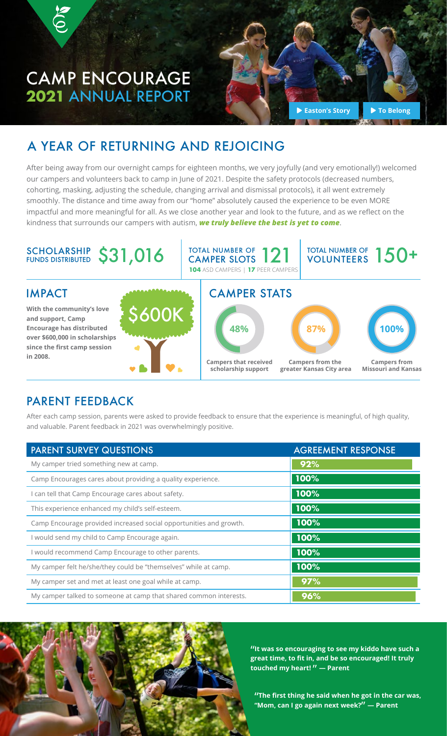# CAMP ENCOURAGE **2021** ANNUAL REPORT

6

**[Easton's Story](https://youtu.be/FIFT8tyqLWQ) D** [To Belong](https://youtu.be/mSgEF_HyvDw)

## A YEAR OF RETURNING AND REJOICING

After being away from our overnight camps for eighteen months, we very joyfully (and very emotionally!) welcomed our campers and volunteers back to camp in June of 2021. Despite the safety protocols (decreased numbers, cohorting, masking, adjusting the schedule, changing arrival and dismissal protocols), it all went extremely smoothly. The distance and time away from our "home" absolutely caused the experience to be even MORE impactful and more meaningful for all. As we close another year and look to the future, and as we reflect on the kindness that surrounds our campers with autism, *we truly believe the best is yet to come*.



### PARENT FEEDBACK

After each camp session, parents were asked to provide feedback to ensure that the experience is meaningful, of high quality, and valuable. Parent feedback in 2021 was overwhelmingly positive.

| <b>PARENT SURVEY QUESTIONS</b>                                     | <b>AGREEMENT RESPONSE</b> |  |
|--------------------------------------------------------------------|---------------------------|--|
| My camper tried something new at camp.                             | 92%                       |  |
| Camp Encourages cares about providing a quality experience.        | 100%                      |  |
| I can tell that Camp Encourage cares about safety.                 | 100%                      |  |
| This experience enhanced my child's self-esteem.                   | 100%                      |  |
| Camp Encourage provided increased social opportunities and growth. | 100%                      |  |
| I would send my child to Camp Encourage again.                     | 100%                      |  |
| I would recommend Camp Encourage to other parents.                 | 100%                      |  |
| My camper felt he/she/they could be "themselves" while at camp.    | 100%                      |  |
| My camper set and met at least one goal while at camp.             | 97%                       |  |
| My camper talked to someone at camp that shared common interests.  | 96%                       |  |



"**It was so encouraging to see my kiddo have such a great time, to fit in, and be so encouraged! It truly touched my heart!** " **— Parent**

"**The first thing he said when he got in the car was, "Mom, can I go again next week?**" **— Parent**